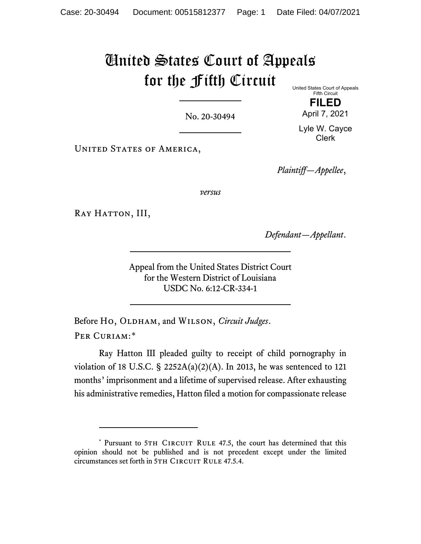## United States Court of Appeals for the Fifth Circuit United States Court of Appeals

No. 20-30494

**FILED** April 7, 2021

Fifth Circuit

Lyle W. Cayce Clerk

UNITED STATES OF AMERICA,

*Plaintiff—Appellee*,

*versus*

RAY HATTON, III,

*Defendant—Appellant*.

Appeal from the United States District Court for the Western District of Louisiana USDC No. 6:12-CR-334-1

Before Ho, OLDHAM, and WILSON, *Circuit Judges*. PER CURIAM:[\\*](#page-0-0)

Ray Hatton III pleaded guilty to receipt of child pornography in violation of 18 U.S.C.  $\S$  2252A(a)(2)(A). In 2013, he was sentenced to 121 months' imprisonment and a lifetime of supervised release. After exhausting his administrative remedies, Hatton filed a motion for compassionate release

<span id="page-0-0"></span><sup>\*</sup> Pursuant to 5TH CIRCUIT RULE 47.5, the court has determined that this opinion should not be published and is not precedent except under the limited circumstances set forth in 5TH CIRCUIT RULE 47.5.4.